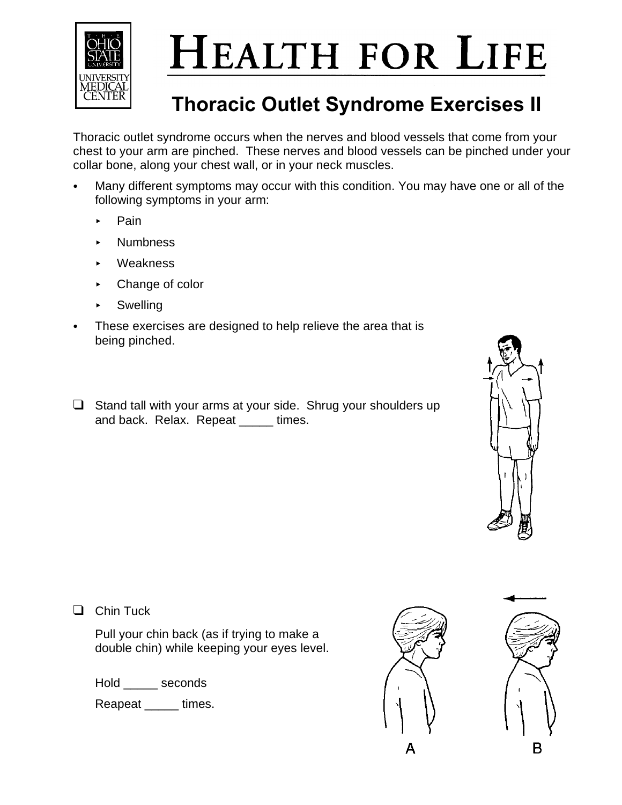

## **HEALTH FOR LIFE**

## **Thoracic Outlet Syndrome Exercises II**

Thoracic outlet syndrome occurs when the nerves and blood vessels that come from your chest to your arm are pinched. These nerves and blood vessels can be pinched under your collar bone, along your chest wall, or in your neck muscles.

- Many different symptoms may occur with this condition. You may have one or all of the following symptoms in your arm:
	- < Pain
	- < Numbness
	- < Weakness
	- ► Change of color
	- < Swelling
- These exercises are designed to help relieve the area that is being pinched.
- $\Box$  Stand tall with your arms at your side. Shrug your shoulders up and back. Relax. Repeat \_\_\_\_\_ times.



 $\Box$  Chin Tuck

Pull your chin back (as if trying to make a double chin) while keeping your eyes level.

Hold seconds

Reapeat \_\_\_\_\_ times.